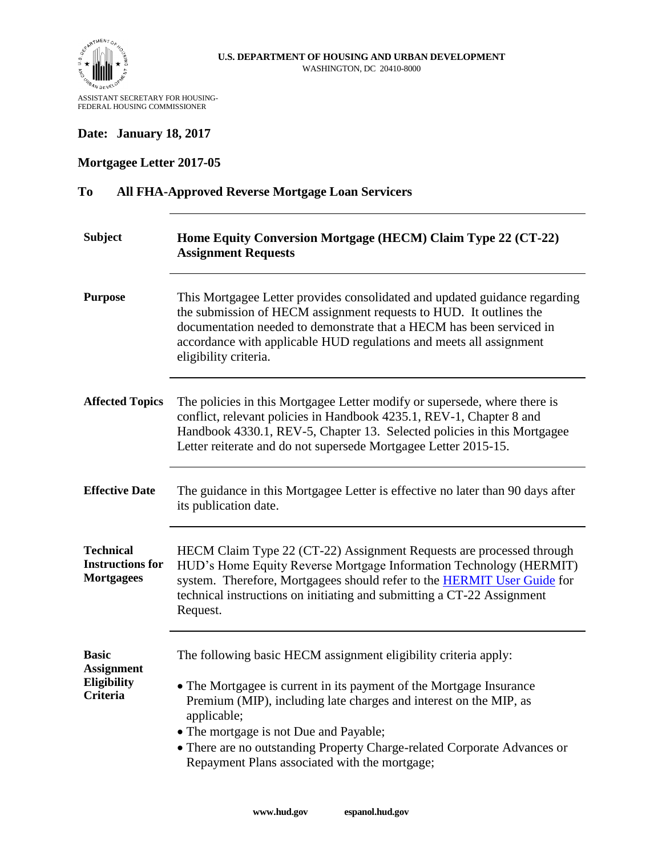

#### ASSISTANT SECRETARY FOR HOUSING-FEDERAL HOUSING COMMISSIONER

# **Date: January 18, 2017**

# **Mortgagee Letter 2017-05**

# **To All FHA-Approved Reverse Mortgage Loan Servicers**

| <b>Subject</b>                                                      | Home Equity Conversion Mortgage (HECM) Claim Type 22 (CT-22)<br><b>Assignment Requests</b>                                                                                                                                                                                                                                                                                                        |
|---------------------------------------------------------------------|---------------------------------------------------------------------------------------------------------------------------------------------------------------------------------------------------------------------------------------------------------------------------------------------------------------------------------------------------------------------------------------------------|
| <b>Purpose</b>                                                      | This Mortgagee Letter provides consolidated and updated guidance regarding<br>the submission of HECM assignment requests to HUD. It outlines the<br>documentation needed to demonstrate that a HECM has been serviced in<br>accordance with applicable HUD regulations and meets all assignment<br>eligibility criteria.                                                                          |
| <b>Affected Topics</b>                                              | The policies in this Mortgagee Letter modify or supersede, where there is<br>conflict, relevant policies in Handbook 4235.1, REV-1, Chapter 8 and<br>Handbook 4330.1, REV-5, Chapter 13. Selected policies in this Mortgagee<br>Letter reiterate and do not supersede Mortgagee Letter 2015-15.                                                                                                   |
| <b>Effective Date</b>                                               | The guidance in this Mortgagee Letter is effective no later than 90 days after<br>its publication date.                                                                                                                                                                                                                                                                                           |
| <b>Technical</b><br><b>Instructions for</b><br><b>Mortgagees</b>    | HECM Claim Type 22 (CT-22) Assignment Requests are processed through<br>HUD's Home Equity Reverse Mortgage Information Technology (HERMIT)<br>system. Therefore, Mortgagees should refer to the <b>HERMIT User Guide</b> for<br>technical instructions on initiating and submitting a CT-22 Assignment<br>Request.                                                                                |
| <b>Basic</b><br><b>Assignment</b><br>Eligibility<br><b>Criteria</b> | The following basic HECM assignment eligibility criteria apply:<br>• The Mortgagee is current in its payment of the Mortgage Insurance<br>Premium (MIP), including late charges and interest on the MIP, as<br>applicable;<br>• The mortgage is not Due and Payable;<br>• There are no outstanding Property Charge-related Corporate Advances or<br>Repayment Plans associated with the mortgage; |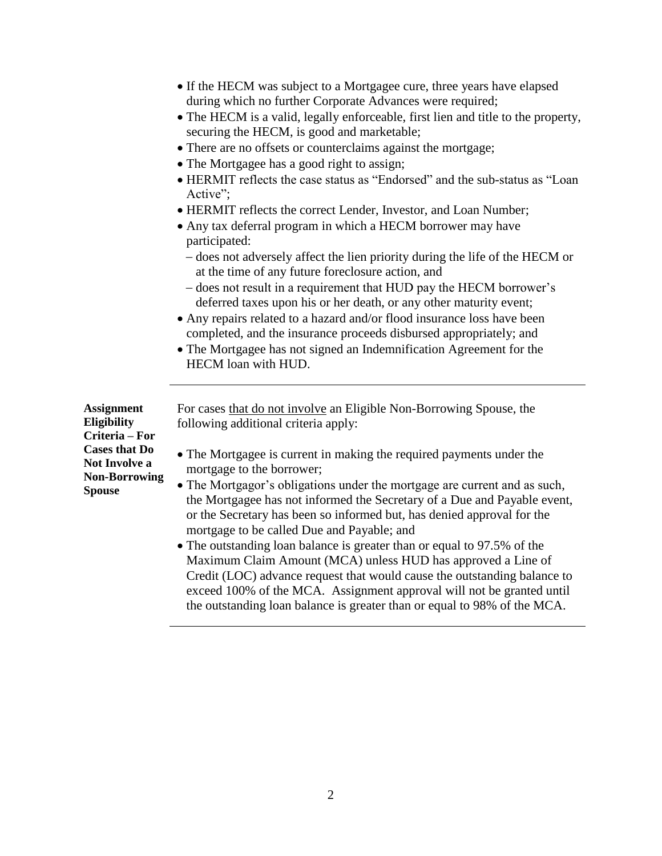|                                           | • If the HECM was subject to a Mortgagee cure, three years have elapsed<br>during which no further Corporate Advances were required;<br>• The HECM is a valid, legally enforceable, first lien and title to the property,<br>securing the HECM, is good and marketable;<br>• There are no offsets or counterclaims against the mortgage;<br>• The Mortgagee has a good right to assign;<br>• HERMIT reflects the case status as "Endorsed" and the sub-status as "Loan<br>Active":<br>• HERMIT reflects the correct Lender, Investor, and Loan Number;<br>• Any tax deferral program in which a HECM borrower may have<br>participated:<br>- does not adversely affect the lien priority during the life of the HECM or<br>at the time of any future foreclosure action, and<br>- does not result in a requirement that HUD pay the HECM borrower's<br>deferred taxes upon his or her death, or any other maturity event;<br>• Any repairs related to a hazard and/or flood insurance loss have been<br>completed, and the insurance proceeds disbursed appropriately; and<br>• The Mortgagee has not signed an Indemnification Agreement for the<br>HECM loan with HUD. |
|-------------------------------------------|--------------------------------------------------------------------------------------------------------------------------------------------------------------------------------------------------------------------------------------------------------------------------------------------------------------------------------------------------------------------------------------------------------------------------------------------------------------------------------------------------------------------------------------------------------------------------------------------------------------------------------------------------------------------------------------------------------------------------------------------------------------------------------------------------------------------------------------------------------------------------------------------------------------------------------------------------------------------------------------------------------------------------------------------------------------------------------------------------------------------------------------------------------------------------|
| ssignment<br>ligibility<br>riteria – For! | For cases that do not involve an Eligible Non-Borrowing Spouse, the<br>following additional criteria apply:                                                                                                                                                                                                                                                                                                                                                                                                                                                                                                                                                                                                                                                                                                                                                                                                                                                                                                                                                                                                                                                              |
| lases that Do<br><b>lot Involve a</b>     | • The Mortgagee is current in making the required payments under the<br>mortgage to the borrower;                                                                                                                                                                                                                                                                                                                                                                                                                                                                                                                                                                                                                                                                                                                                                                                                                                                                                                                                                                                                                                                                        |
| <b>Ion-Borrowing</b><br>pouse             | • The Mortgagor's obligations under the mortgage are current and as such,<br>the Mortgagee has not informed the Secretary of a Due and Payable event,<br>or the Secretary has been so informed but, has denied approval for the<br>mortgage to be called Due and Payable; and                                                                                                                                                                                                                                                                                                                                                                                                                                                                                                                                                                                                                                                                                                                                                                                                                                                                                            |

 The outstanding loan balance is greater than or equal to 97.5% of the Maximum Claim Amount (MCA) unless HUD has approved a Line of Credit (LOC) advance request that would cause the outstanding balance to exceed 100% of the MCA. Assignment approval will not be granted until the outstanding loan balance is greater than or equal to 98% of the MCA.

**Assignment El Criteria – For**   $\overline{\mathbf{C}}$ **N Non-Borrowing**   $S<sub>l</sub>$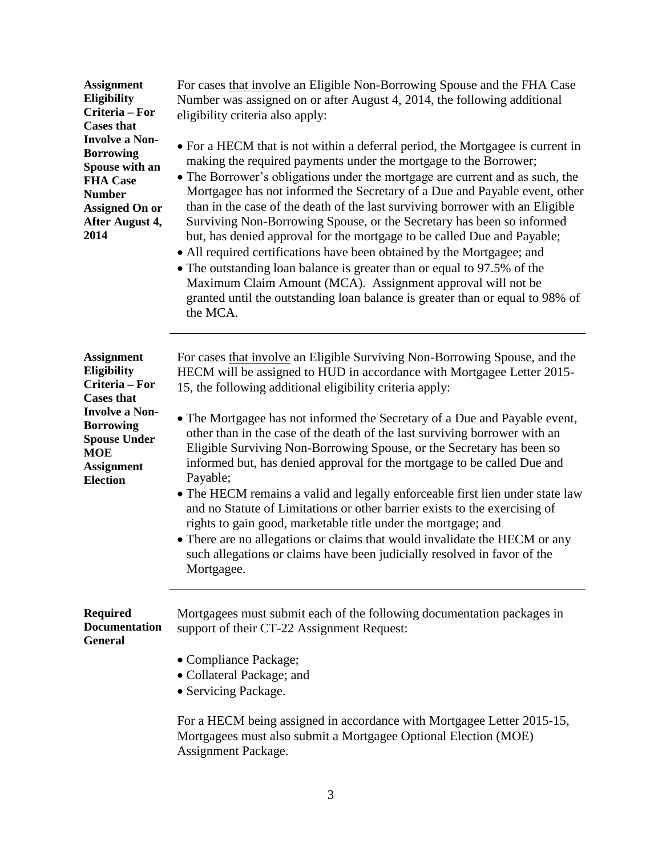**Eligibility Criteria – For Cases that Involve a Non-Borrowing Spouse with an FHA Case Number Assigned On or After August 4, 2014** Number was assigned on or after August 4, 2014, the following additional eligibility criteria also apply: For a HECM that is not within a deferral period, the Mortgagee is current in making the required payments under the mortgage to the Borrower; The Borrower's obligations under the mortgage are current and as such, the Mortgagee has not informed the Secretary of a Due and Payable event, other than in the case of the death of the last surviving borrower with an Eligible Surviving Non-Borrowing Spouse, or the Secretary has been so informed but, has denied approval for the mortgage to be called Due and Payable; All required certifications have been obtained by the Mortgagee; and • The outstanding loan balance is greater than or equal to 97.5% of the Maximum Claim Amount (MCA). Assignment approval will not be granted until the outstanding loan balance is greater than or equal to 98% of the MCA. **Assignment Eligibility Criteria – For Cases that Involve a Non-Borrowing Spouse Under MOE Assignment Election** For cases that involve an Eligible Surviving Non-Borrowing Spouse, and the HECM will be assigned to HUD in accordance with Mortgagee Letter 2015- 15, the following additional eligibility criteria apply: The Mortgagee has not informed the Secretary of a Due and Payable event, other than in the case of the death of the last surviving borrower with an Eligible Surviving Non-Borrowing Spouse, or the Secretary has been so informed but, has denied approval for the mortgage to be called Due and Payable; The HECM remains a valid and legally enforceable first lien under state law and no Statute of Limitations or other barrier exists to the exercising of rights to gain good, marketable title under the mortgage; and • There are no allegations or claims that would invalidate the HECM or any such allegations or claims have been judicially resolved in favor of the Mortgagee. **Required Documentation General** Mortgagees must submit each of the following documentation packages in support of their CT-22 Assignment Request: Compliance Package; Collateral Package; and • Servicing Package. For a HECM being assigned in accordance with Mortgagee Letter 2015-15,

For cases that involve an Eligible Non-Borrowing Spouse and the FHA Case

**Assignment** 

Mortgagees must also submit a Mortgagee Optional Election (MOE) Assignment Package.

3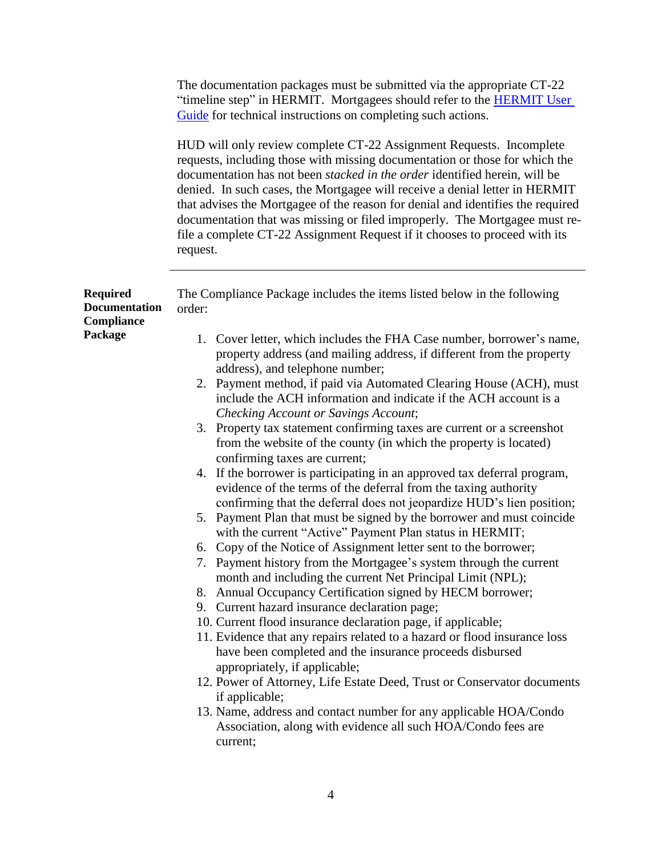|                                                                  | The documentation packages must be submitted via the appropriate CT-22<br>"timeline step" in HERMIT. Mortgagees should refer to the <b>HERMIT User</b><br>Guide for technical instructions on completing such actions.<br>HUD will only review complete CT-22 Assignment Requests. Incomplete<br>requests, including those with missing documentation or those for which the<br>documentation has not been stacked in the order identified herein, will be<br>denied. In such cases, the Mortgagee will receive a denial letter in HERMIT<br>that advises the Mortgagee of the reason for denial and identifies the required<br>documentation that was missing or filed improperly. The Mortgagee must re-<br>file a complete CT-22 Assignment Request if it chooses to proceed with its<br>request.                                                                                                                                                                                                                                                                                                                                                                                                                                                                                                                                                                                                                                                                                                                                                                                                                                                                                                                                                                                                                         |
|------------------------------------------------------------------|------------------------------------------------------------------------------------------------------------------------------------------------------------------------------------------------------------------------------------------------------------------------------------------------------------------------------------------------------------------------------------------------------------------------------------------------------------------------------------------------------------------------------------------------------------------------------------------------------------------------------------------------------------------------------------------------------------------------------------------------------------------------------------------------------------------------------------------------------------------------------------------------------------------------------------------------------------------------------------------------------------------------------------------------------------------------------------------------------------------------------------------------------------------------------------------------------------------------------------------------------------------------------------------------------------------------------------------------------------------------------------------------------------------------------------------------------------------------------------------------------------------------------------------------------------------------------------------------------------------------------------------------------------------------------------------------------------------------------------------------------------------------------------------------------------------------------|
| <b>Required</b><br><b>Documentation</b><br>Compliance<br>Package | The Compliance Package includes the items listed below in the following<br>order:<br>1. Cover letter, which includes the FHA Case number, borrower's name,<br>property address (and mailing address, if different from the property<br>address), and telephone number;<br>2. Payment method, if paid via Automated Clearing House (ACH), must<br>include the ACH information and indicate if the ACH account is a<br><b>Checking Account or Savings Account;</b><br>3. Property tax statement confirming taxes are current or a screenshot<br>from the website of the county (in which the property is located)<br>confirming taxes are current;<br>4. If the borrower is participating in an approved tax deferral program,<br>evidence of the terms of the deferral from the taxing authority<br>confirming that the deferral does not jeopardize HUD's lien position;<br>5. Payment Plan that must be signed by the borrower and must coincide<br>with the current "Active" Payment Plan status in HERMIT;<br>6. Copy of the Notice of Assignment letter sent to the borrower;<br>7. Payment history from the Mortgagee's system through the current<br>month and including the current Net Principal Limit (NPL);<br>8. Annual Occupancy Certification signed by HECM borrower;<br>9. Current hazard insurance declaration page;<br>10. Current flood insurance declaration page, if applicable;<br>11. Evidence that any repairs related to a hazard or flood insurance loss<br>have been completed and the insurance proceeds disbursed<br>appropriately, if applicable;<br>12. Power of Attorney, Life Estate Deed, Trust or Conservator documents<br>if applicable;<br>13. Name, address and contact number for any applicable HOA/Condo<br>Association, along with evidence all such HOA/Condo fees are<br>current; |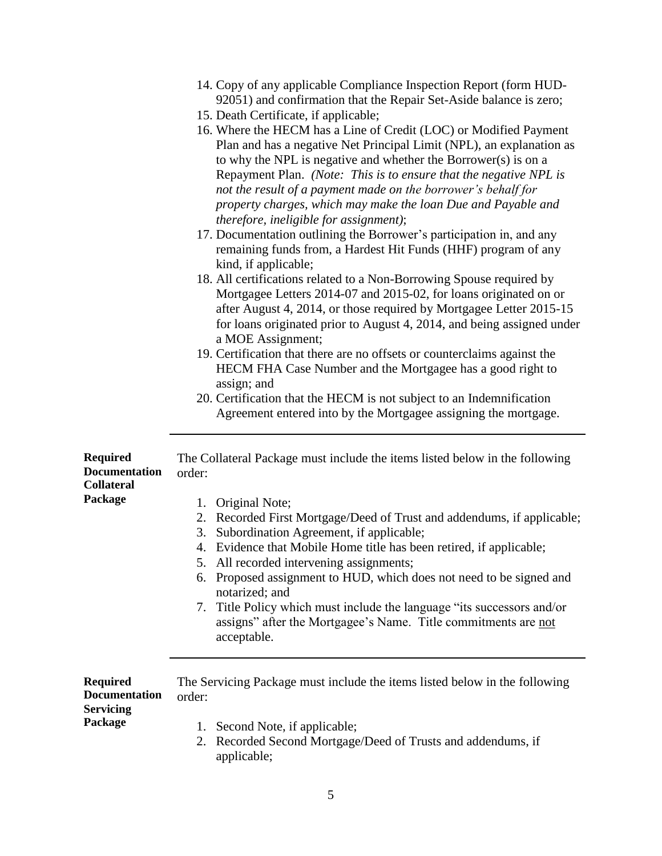- 14. Copy of any applicable Compliance Inspection Report (form HUD-92051) and confirmation that the Repair Set-Aside balance is zero;
- 15. Death Certificate, if applicable;
- 16. Where the HECM has a Line of Credit (LOC) or Modified Payment Plan and has a negative Net Principal Limit (NPL), an explanation as to why the NPL is negative and whether the Borrower(s) is on a Repayment Plan. *(Note: This is to ensure that the negative NPL is not the result of a payment made on the borrower's behalf for property charges, which may make the loan Due and Payable and therefore, ineligible for assignment)*;
- 17. Documentation outlining the Borrower's participation in, and any remaining funds from, a Hardest Hit Funds (HHF) program of any kind, if applicable;
- 18. All certifications related to a Non-Borrowing Spouse required by Mortgagee Letters 2014-07 and 2015-02, for loans originated on or after August 4, 2014, or those required by Mortgagee Letter 2015-15 for loans originated prior to August 4, 2014, and being assigned under a MOE Assignment;
- 19. Certification that there are no offsets or counterclaims against the HECM FHA Case Number and the Mortgagee has a good right to assign; and
- 20. Certification that the HECM is not subject to an Indemnification Agreement entered into by the Mortgagee assigning the mortgage.

**Required Documentation Collateral Package** The Collateral Package must include the items listed below in the following order: 1. Original Note; 2. Recorded First Mortgage/Deed of Trust and addendums, if applicable; 3. Subordination Agreement, if applicable; 4. Evidence that Mobile Home title has been retired, if applicable; 5. All recorded intervening assignments; 6. Proposed assignment to HUD, which does not need to be signed and notarized; and 7. Title Policy which must include the language "its successors and/or assigns" after the Mortgagee's Name. Title commitments are not acceptable. **Required Documentation**  The Servicing Package must include the items listed below in the following order:

#### **Servicing Package**

- 1. Second Note, if applicable;
- 2. Recorded Second Mortgage/Deed of Trusts and addendums, if applicable;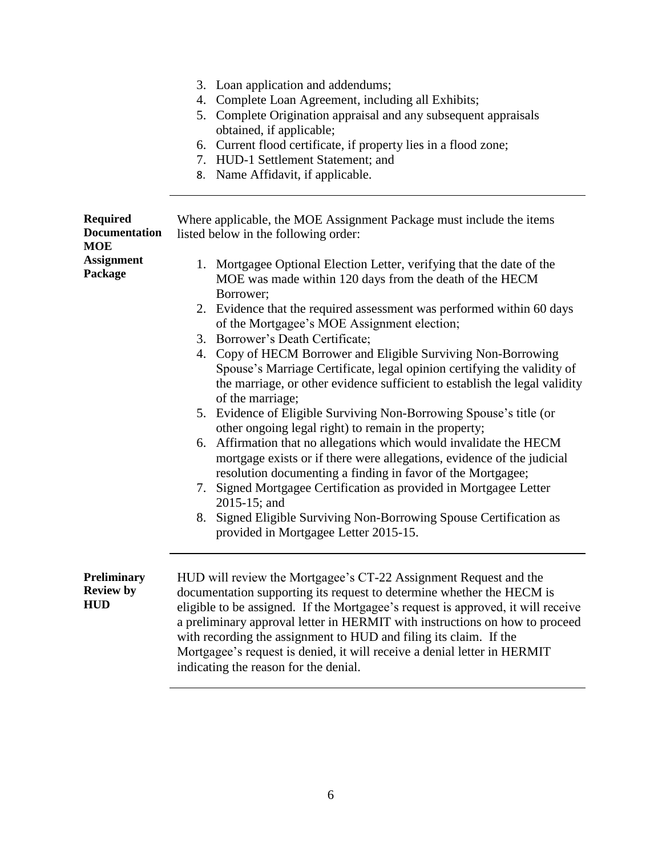|                                               | 3. Loan application and addendums;<br>4. Complete Loan Agreement, including all Exhibits;<br>5. Complete Origination appraisal and any subsequent appraisals<br>obtained, if applicable;<br>6. Current flood certificate, if property lies in a flood zone;<br>7. HUD-1 Settlement Statement; and<br>8. Name Affidavit, if applicable.                                                                                                                                                                 |
|-----------------------------------------------|--------------------------------------------------------------------------------------------------------------------------------------------------------------------------------------------------------------------------------------------------------------------------------------------------------------------------------------------------------------------------------------------------------------------------------------------------------------------------------------------------------|
| <b>Required</b><br><b>Documentation</b>       | Where applicable, the MOE Assignment Package must include the items<br>listed below in the following order:                                                                                                                                                                                                                                                                                                                                                                                            |
| <b>MOE</b><br><b>Assignment</b><br>Package    | 1. Mortgagee Optional Election Letter, verifying that the date of the<br>MOE was made within 120 days from the death of the HECM<br>Borrower;                                                                                                                                                                                                                                                                                                                                                          |
|                                               | 2. Evidence that the required assessment was performed within 60 days<br>of the Mortgagee's MOE Assignment election;                                                                                                                                                                                                                                                                                                                                                                                   |
|                                               | 3. Borrower's Death Certificate;<br>4. Copy of HECM Borrower and Eligible Surviving Non-Borrowing<br>Spouse's Marriage Certificate, legal opinion certifying the validity of<br>the marriage, or other evidence sufficient to establish the legal validity<br>of the marriage;                                                                                                                                                                                                                         |
|                                               | 5. Evidence of Eligible Surviving Non-Borrowing Spouse's title (or<br>other ongoing legal right) to remain in the property;                                                                                                                                                                                                                                                                                                                                                                            |
|                                               | 6. Affirmation that no allegations which would invalidate the HECM<br>mortgage exists or if there were allegations, evidence of the judicial<br>resolution documenting a finding in favor of the Mortgagee;                                                                                                                                                                                                                                                                                            |
|                                               | 7. Signed Mortgagee Certification as provided in Mortgagee Letter<br>2015-15; and                                                                                                                                                                                                                                                                                                                                                                                                                      |
|                                               | Signed Eligible Surviving Non-Borrowing Spouse Certification as<br>8.<br>provided in Mortgagee Letter 2015-15.                                                                                                                                                                                                                                                                                                                                                                                         |
| Preliminary<br><b>Review by</b><br><b>HUD</b> | HUD will review the Mortgagee's CT-22 Assignment Request and the<br>documentation supporting its request to determine whether the HECM is<br>eligible to be assigned. If the Mortgagee's request is approved, it will receive<br>a preliminary approval letter in HERMIT with instructions on how to proceed<br>with recording the assignment to HUD and filing its claim. If the<br>Mortgagee's request is denied, it will receive a denial letter in HERMIT<br>indicating the reason for the denial. |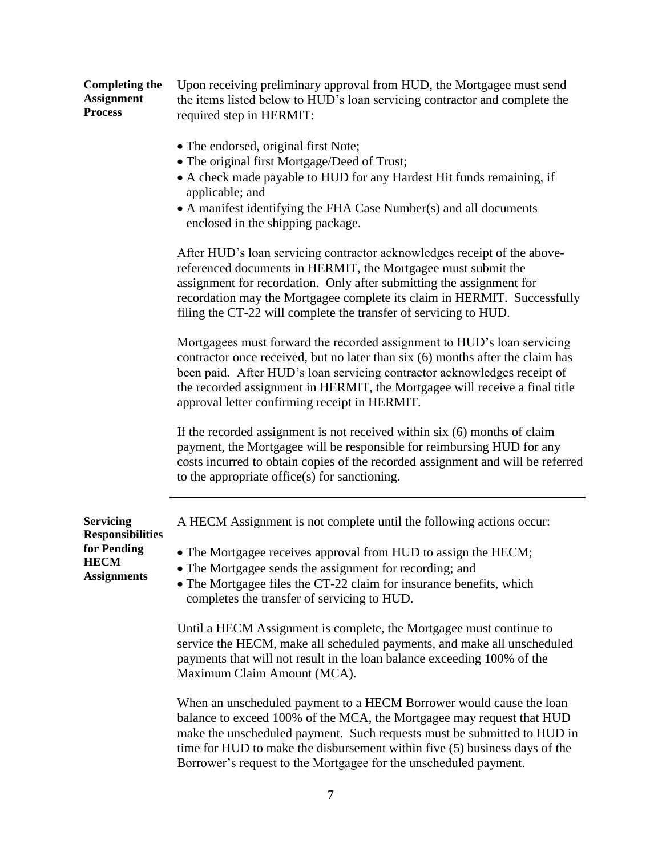|                | <b>Completing the</b> Upon receiving preliminary approval from HUD, the Mortgagee must send |
|----------------|---------------------------------------------------------------------------------------------|
| Assignment     | the items listed below to HUD's loan servicing contractor and complete the                  |
| <b>Process</b> | required step in HERMIT:                                                                    |

- The endorsed, original first Note;
- The original first Mortgage/Deed of Trust;
- A check made payable to HUD for any Hardest Hit funds remaining, if applicable; and
- A manifest identifying the FHA Case Number(s) and all documents enclosed in the shipping package.

After HUD's loan servicing contractor acknowledges receipt of the abovereferenced documents in HERMIT, the Mortgagee must submit the assignment for recordation. Only after submitting the assignment for recordation may the Mortgagee complete its claim in HERMIT. Successfully filing the CT-22 will complete the transfer of servicing to HUD.

Mortgagees must forward the recorded assignment to HUD's loan servicing contractor once received, but no later than six (6) months after the claim has been paid. After HUD's loan servicing contractor acknowledges receipt of the recorded assignment in HERMIT, the Mortgagee will receive a final title approval letter confirming receipt in HERMIT.

If the recorded assignment is not received within six (6) months of claim payment, the Mortgagee will be responsible for reimbursing HUD for any costs incurred to obtain copies of the recorded assignment and will be referred to the appropriate office(s) for sanctioning.

| <b>Servicing</b><br><b>Responsibilities</b><br>for Pending<br><b>HECM</b><br><b>Assignments</b> | A HECM Assignment is not complete until the following actions occur:<br>• The Mortgagee receives approval from HUD to assign the HECM;<br>• The Mortgagee sends the assignment for recording; and<br>• The Mortgagee files the CT-22 claim for insurance benefits, which<br>completes the transfer of servicing to HUD. |
|-------------------------------------------------------------------------------------------------|-------------------------------------------------------------------------------------------------------------------------------------------------------------------------------------------------------------------------------------------------------------------------------------------------------------------------|
|                                                                                                 | Until a HECM Assignment is complete, the Mortgagee must continue to<br>service the HECM, make all scheduled payments, and make all unscheduled<br>payments that will not result in the loan balance exceeding 100% of the<br>Maximum Claim Amount (MCA).                                                                |
|                                                                                                 | When an unscheduled payment to a HECM Borrower would cause the loan<br>balance to exceed 100% of the MCA, the Mortgagee may request that HUD<br>make the unscheduled payment. Such requests must be submitted to HUD in<br>time for HUD to make the disbursement within five (5) business days of the                   |

Borrower's request to the Mortgagee for the unscheduled payment.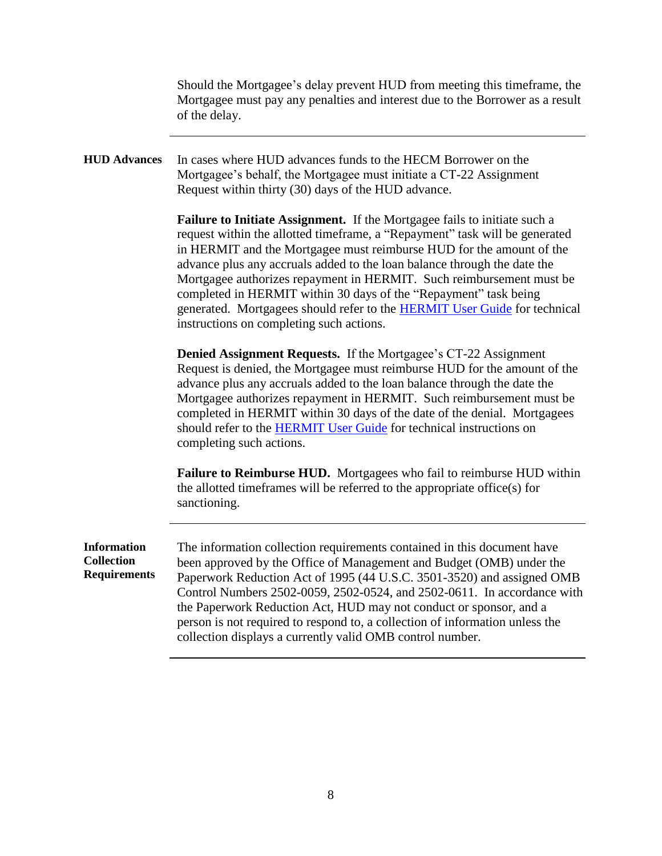Should the Mortgagee's delay prevent HUD from meeting this timeframe, the Mortgagee must pay any penalties and interest due to the Borrower as a result of the delay.

**HUD Advances** In cases where HUD advances funds to the HECM Borrower on the Mortgagee's behalf, the Mortgagee must initiate a CT-22 Assignment Request within thirty (30) days of the HUD advance.

> **Failure to Initiate Assignment.** If the Mortgagee fails to initiate such a request within the allotted timeframe, a "Repayment" task will be generated in HERMIT and the Mortgagee must reimburse HUD for the amount of the advance plus any accruals added to the loan balance through the date the Mortgagee authorizes repayment in HERMIT. Such reimbursement must be completed in HERMIT within 30 days of the "Repayment" task being generated. Mortgagees should refer to the [HERMIT User Guide](http://portal.hud.gov/hudportal/HUD?src=/program_offices/housing/comp/hecm_hermit) for technical instructions on completing such actions.

> **Denied Assignment Requests.** If the Mortgagee's CT-22 Assignment Request is denied, the Mortgagee must reimburse HUD for the amount of the advance plus any accruals added to the loan balance through the date the Mortgagee authorizes repayment in HERMIT. Such reimbursement must be completed in HERMIT within 30 days of the date of the denial. Mortgagees should refer to the [HERMIT User Guide](http://portal.hud.gov/hudportal/HUD?src=/program_offices/housing/comp/hecm_hermit) for technical instructions on completing such actions.

> **Failure to Reimburse HUD.** Mortgagees who fail to reimburse HUD within the allotted timeframes will be referred to the appropriate office(s) for sanctioning.

**Information Collection Requirements** The information collection requirements contained in this document have been approved by the Office of Management and Budget (OMB) under the Paperwork Reduction Act of 1995 (44 U.S.C. 3501-3520) and assigned OMB Control Numbers 2502-0059, 2502-0524, and 2502-0611. In accordance with the Paperwork Reduction Act, HUD may not conduct or sponsor, and a person is not required to respond to, a collection of information unless the collection displays a currently valid OMB control number.